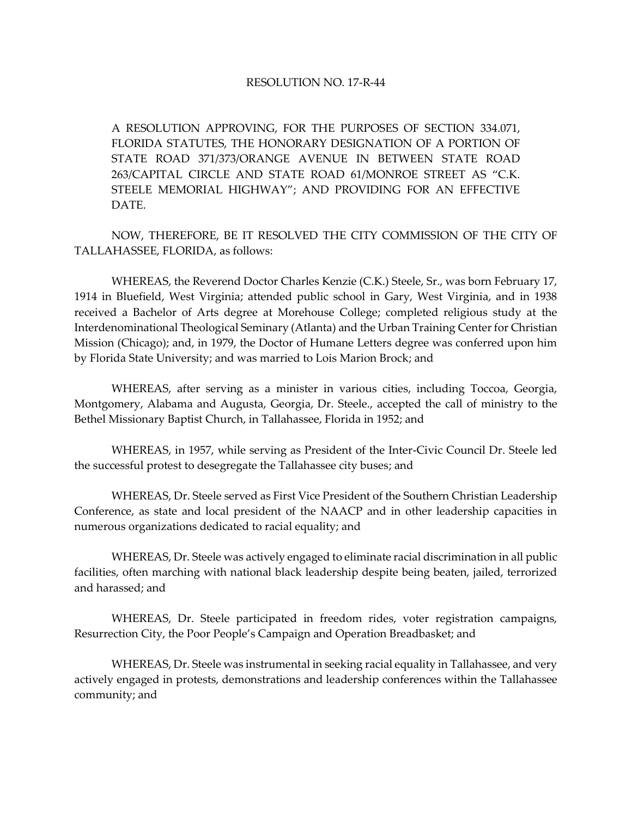## RESOLUTION NO. 17-R-44

A RESOLUTION APPROVING, FOR THE PURPOSES OF SECTION 334.071, FLORIDA STATUTES, THE HONORARY DESIGNATION OF A PORTION OF STATE ROAD 371/373/ORANGE AVENUE IN BETWEEN STATE ROAD 263/CAPITAL CIRCLE AND STATE ROAD 61/MONROE STREET AS "C.K. STEELE MEMORIAL HIGHWAY"; AND PROVIDING FOR AN EFFECTIVE DATE.

NOW, THEREFORE, BE IT RESOLVED THE CITY COMMISSION OF THE CITY OF TALLAHASSEE, FLORIDA, as follows:

WHEREAS, the Reverend Doctor Charles Kenzie (C.K.) Steele, Sr., was born February 17, 1914 in Bluefield, West Virginia; attended public school in Gary, West Virginia, and in 1938 received a Bachelor of Arts degree at Morehouse College; completed religious study at the Interdenominational Theological Seminary (Atlanta) and the Urban Training Center for Christian Mission (Chicago); and, in 1979, the Doctor of Humane Letters degree was conferred upon him by Florida State University; and was married to Lois Marion Brock; and

WHEREAS, after serving as a minister in various cities, including Toccoa, Georgia, Montgomery, Alabama and Augusta, Georgia, Dr. Steele., accepted the call of ministry to the Bethel Missionary Baptist Church, in Tallahassee, Florida in 1952; and

WHEREAS, in 1957, while serving as President of the Inter-Civic Council Dr. Steele led the successful protest to desegregate the Tallahassee city buses; and

WHEREAS, Dr. Steele served as First Vice President of the Southern Christian Leadership Conference, as state and local president of the NAACP and in other leadership capacities in numerous organizations dedicated to racial equality; and

WHEREAS, Dr. Steele was actively engaged to eliminate racial discrimination in all public facilities, often marching with national black leadership despite being beaten, jailed, terrorized and harassed; and

WHEREAS, Dr. Steele participated in freedom rides, voter registration campaigns, Resurrection City, the Poor People's Campaign and Operation Breadbasket; and

WHEREAS, Dr. Steele was instrumental in seeking racial equality in Tallahassee, and very actively engaged in protests, demonstrations and leadership conferences within the Tallahassee community; and